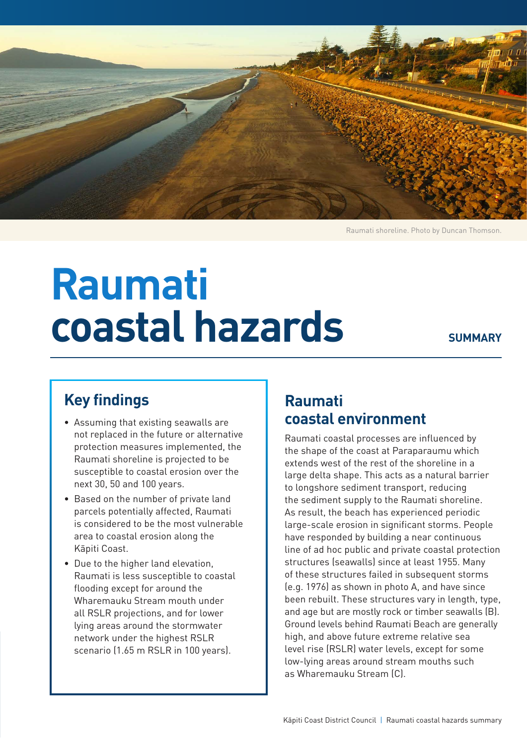

Raumati shoreline. Photo by Duncan Thomson.

# **Raumati coastal hazards**

#### **SUMMARY**

## **Key findings**

- Assuming that existing seawalls are not replaced in the future or alternative protection measures implemented, the Raumati shoreline is projected to be susceptible to coastal erosion over the next 30, 50 and 100 years.
- Based on the number of private land parcels potentially affected, Raumati is considered to be the most vulnerable area to coastal erosion along the Kāpiti Coast.
- Due to the higher land elevation, Raumati is less susceptible to coastal flooding except for around the Wharemauku Stream mouth under all RSLR projections, and for lower lying areas around the stormwater network under the highest RSLR scenario (1.65 m RSLR in 100 years).

### **Raumati coastal environment**

Raumati coastal processes are influenced by the shape of the coast at Paraparaumu which extends west of the rest of the shoreline in a large delta shape. This acts as a natural barrier to longshore sediment transport, reducing the sediment supply to the Raumati shoreline. As result, the beach has experienced periodic large-scale erosion in significant storms. People have responded by building a near continuous line of ad hoc public and private coastal protection structures (seawalls) since at least 1955. Many of these structures failed in subsequent storms (e.g. 1976) as shown in photo A, and have since been rebuilt. These structures vary in length, type, and age but are mostly rock or timber seawalls (B). Ground levels behind Raumati Beach are generally high, and above future extreme relative sea level rise (RSLR) water levels, except for some low-lying areas around stream mouths such as Wharemauku Stream (C).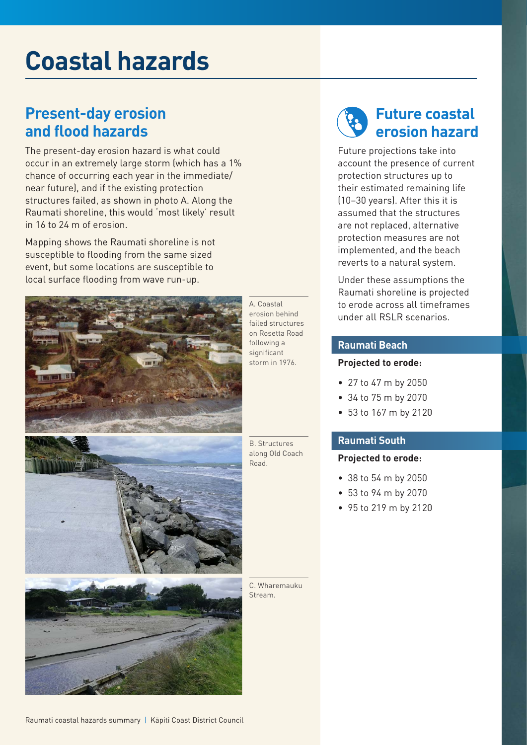# **Coastal hazards**

### **Present-day erosion and flood hazards**

The present-day erosion hazard is what could occur in an extremely large storm (which has a 1% chance of occurring each year in the immediate/ near future), and if the existing protection structures failed, as shown in photo A. Along the Raumati shoreline, this would 'most likely' result in 16 to 24 m of erosion.

Mapping shows the Raumati shoreline is not susceptible to flooding from the same sized event, but some locations are susceptible to local surface flooding from wave run-up.



A. Coastal erosion behind failed structures on Rosetta Road following a significant storm in 1976.

B. Structures along Old Coach Road.

C. Wharemauku Stream.

# **Future coastal erosion hazard**

Future projections take into account the presence of current protection structures up to their estimated remaining life (10–30 years). After this it is assumed that the structures are not replaced, alternative protection measures are not implemented, and the beach reverts to a natural system.

Under these assumptions the Raumati shoreline is projected to erode across all timeframes under all RSLR scenarios.

#### **Raumati Beach**

#### **Projected to erode:**

- 27 to 47 m by 2050
- 34 to 75 m by 2070
- 53 to 167 m by 2120

#### **Raumati South**

#### **Projected to erode:**

- 38 to 54 m by 2050
- 53 to 94 m by 2070
- 95 to 219 m by 2120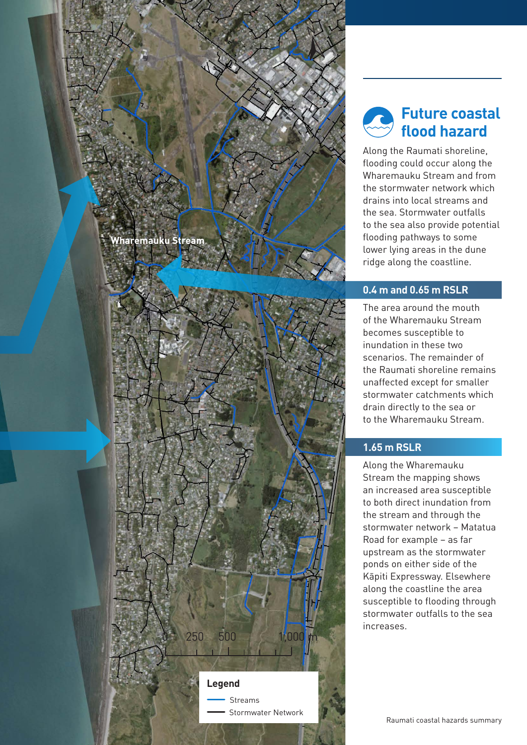# **Wharemauku Stream**



# **Future coastal flood hazard**

N

Along the Raumati shoreline, flooding could occur along the Wharemauku Stream and from the stormwater network which drains into local streams and the sea. Stormwater outfalls to the sea also provide potential flooding pathways to some lower lying areas in the dune ridge along the coastline.

#### **0.4 m and 0.65 m RSLR**

The area around the mouth of the Wharemauku Stream becomes susceptible to inundation in these two scenarios. The remainder of the Raumati shoreline remains unaffected except for smaller stormwater catchments which drain directly to the sea or to the Wharemauku Stream.

#### **1.65 m RSLR**

Along the Wharemauku Stream the mapping shows an increased area susceptible to both direct inundation from the stream and through the stormwater network – Matatua Road for example – as far upstream as the stormwater ponds on either side of the Kāpiti Expressway. Elsewhere along the coastline the area susceptible to flooding through stormwater outfalls to the sea increases.